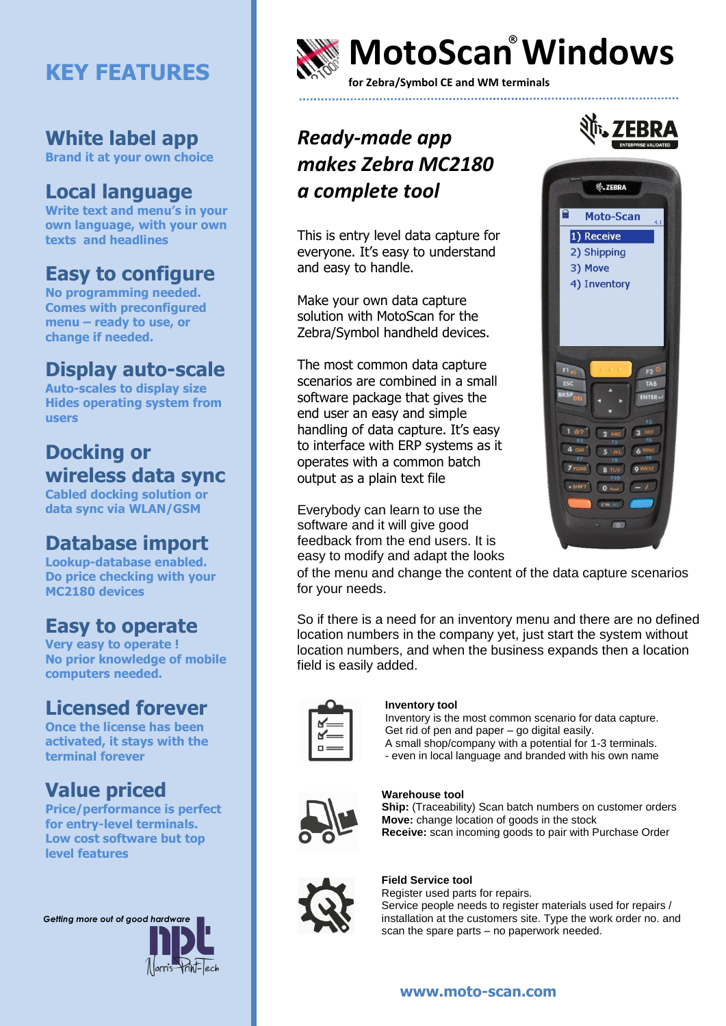# **KEY FEATURES**

#### **White label app**

**Brand it at your own choice**

### **Local language**

**Write text and menu's in your own language, with your own texts and headlines**

#### **Easy to configure**

**No programming needed. Comes with preconfigured menu – ready to use, or change if needed.** 

#### **Display auto-scale**

**Auto-scales to display size Hides operating system from users**

### **Docking or wireless data sync**

**Cabled docking solution or data sync via WLAN/GSM**

### **Database import**

**Lookup-database enabled. Do price checking with your MC2180 devices**

### **Easy to operate**

**Very easy to operate ! No prior knowledge of mobile computers needed.** 

#### **Licensed forever**

**Once the license has been activated, it stays with the terminal forever**

### **Value priced**

**Price/performance is perfect for entry-level terminals. Low cost software but top level features**





# **MotoScan Windows ®**

**for Zebra/Symbol CE and WM terminals**

## *Ready-made app makes Zebra MC2180 a complete tool*

This is entry level data capture for everyone. It's easy to understand and easy to handle.

Make your own data capture solution with MotoScan for the Zebra/Symbol handheld devices.

The most common data capture scenarios are combined in a small software package that gives the end user an easy and simple handling of data capture. It's easy to interface with ERP systems as it operates with a common batch output as a plain text file

Everybody can learn to use the software and it will give good feedback from the end users. It is easy to modify and adapt the looks



of the menu and change the content of the data capture scenarios for your needs.

So if there is a need for an inventory menu and there are no defined location numbers in the company yet, just start the system without location numbers, and when the business expands then a location field is easily added.

|                                 | 7<br>2<br>1<br>r.                                                              |
|---------------------------------|--------------------------------------------------------------------------------|
| ł<br>1<br>1                     | 1<br>ċ,<br>1<br>ź<br>ú<br>Δ                                                    |
| ł<br>1<br>1                     | Ÿ<br>Ζ<br>2<br>1<br>1<br>×<br>ź<br>Ž<br>ý                                      |
| 1<br>1<br>1<br>1<br>1<br>/<br>1 | 1<br>r.<br>r.<br>ź<br>Þ<br>ź<br>v<br>ź<br>ź<br>1<br>Í<br>Í<br>1<br>2<br>Z<br>Z |

#### **Inventory tool**

Inventory is the most common scenario for data capture. Get rid of pen and paper – go digital easily. A small shop/company with a potential for 1-3 terminals. - even in local language and branded with his own name



#### **Warehouse tool**

**Ship:** (Traceability) Scan batch numbers on customer orders **Move:** change location of goods in the stock **Receive:** scan incoming goods to pair with Purchase Order



#### **Field Service tool**

Register used parts for repairs. Service people needs to register materials used for repairs / installation at the customers site. Type the work order no. and scan the spare parts – no paperwork needed.

#### **www.moto-scan.com**